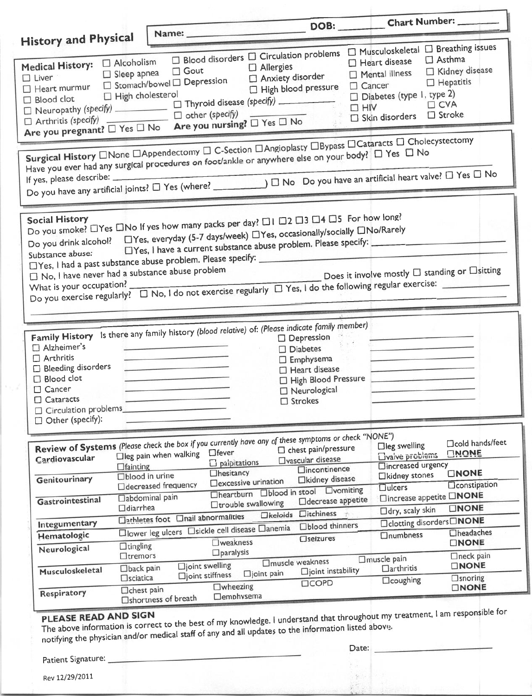|                                                                                                                                                                                                                                                                                                                                                                                                                                                                                                                                                                                                                                                                                                                                                                                     |                                               | Name:                                                                                                                       |                                                                                          |                   | DOB:                                                                                                             |                        | Chart Number:                                                                                                                                                      |                                                       |
|-------------------------------------------------------------------------------------------------------------------------------------------------------------------------------------------------------------------------------------------------------------------------------------------------------------------------------------------------------------------------------------------------------------------------------------------------------------------------------------------------------------------------------------------------------------------------------------------------------------------------------------------------------------------------------------------------------------------------------------------------------------------------------------|-----------------------------------------------|-----------------------------------------------------------------------------------------------------------------------------|------------------------------------------------------------------------------------------|-------------------|------------------------------------------------------------------------------------------------------------------|------------------------|--------------------------------------------------------------------------------------------------------------------------------------------------------------------|-------------------------------------------------------|
| <b>History and Physical</b><br>$\Box$ Liver<br>□ Heart murmur<br>$\Box$ Neuropathy (specify) $\Box$ Thyroid disease (specify) $\Box$<br>Arthritis (specify) $\Box$ other (specify)<br>Are you pregnant? $\Box$ Yes $\Box$ No Are you nursing? $\Box$ Yes $\Box$ No                                                                                                                                                                                                                                                                                                                                                                                                                                                                                                                  | $\Box$ Sleep apnea<br>$\Box$ High cholesterol | $\Box$ Gout<br>□ Stomach/bowel □ Depression □ Anxiety disorder                                                              |                                                                                          | $\Box$ Allergies  | $\Box$ Blood disorders $\Box$ Circulation problems<br>High blood pressure                                        | □ Cancer<br>$\Box$ HIV | □ Musculoskeletal □ Breathing issues<br>Heart disease<br>□ Mental illness<br>$\Box$ Diabetes (type 1, type 2)<br>$\Box$ CVA<br>$\Box$ Skin disorders $\Box$ Stroke | $\Box$ Asthma<br>□ Kidney disease<br>$\Box$ Hepatitis |
| Surgical History <b>ONone DAppendectomy O C-Section DAngioplasty OBypass OCataracts O Cholecystectomy</b><br>Have you ever had any surgical procedures on foot/ankle or anywhere else on your body? $\Box$ Yes $\Box$ No                                                                                                                                                                                                                                                                                                                                                                                                                                                                                                                                                            |                                               |                                                                                                                             |                                                                                          |                   |                                                                                                                  |                        |                                                                                                                                                                    |                                                       |
| Do you smoke? $\Box$ Yes $\Box$ No If yes how many packs per day? $\Box$ 1 $\Box$ 2 $\Box$ 3 $\Box$ 4 $\Box$ 5 For how long?<br>Do you drink alcohol?<br><a> <a> UYes, everyday (5-7 days/week)<br/> UYes, occasionally/socially<br/> <math display="inline">\Box</math> No/Rarely<br/> No<br/> <math display="inline">\Box</math> Yes, everyday (5-7 days/week)<br/> <math display="inline">\Box</math> Yes, occasionally/socially<br/><math display="inline">\Box</math> No/Rarely<br/>Substance abuse:<br/>□Yes, I had a past substance abuse problem. Please specify: ____________________<br/>□ No, I have never had a substance abuse problem<br/>Do you exercise regularly?  <u>No, I do not exercise regularly</u> <u>Nes, I do the following regular exercise</u>:</a></a> |                                               |                                                                                                                             |                                                                                          |                   |                                                                                                                  |                        | □Yes, I have a current substance abuse problem. Please specify: ________________<br>Does it involve mostly $\Box$ standing or $\Box$ sitting                       |                                                       |
| <b>Family History</b><br>Alzheimer's<br>$\Box$ Arthritis<br>Bleeding disorders<br>$\Box$ Blood clot<br>□ Cancer<br>$\Box$ Cataracts<br>Circulation problems_                                                                                                                                                                                                                                                                                                                                                                                                                                                                                                                                                                                                                        |                                               | Is there any family history (blood relative) of: (Please indicate family member)<br><b>March 2019</b> Contractor Commission |                                                                                          |                   | □ Depression<br>$\square$ Diabetes<br>$\Box$ Emphysema<br>□ Heart disease<br>□ Neurological<br>$\square$ Strokes |                        | □ High Blood Pressure                                                                                                                                              |                                                       |
| Other (specify):<br>Review of Systems (Please check the box if you currently have any of these symptoms or check "NONE")                                                                                                                                                                                                                                                                                                                                                                                                                                                                                                                                                                                                                                                            |                                               |                                                                                                                             |                                                                                          |                   |                                                                                                                  |                        | $\Box$ leg swelling                                                                                                                                                | □ cold hands/feet                                     |
| Cardiovascular<br>Genitourinary                                                                                                                                                                                                                                                                                                                                                                                                                                                                                                                                                                                                                                                                                                                                                     | $\Box$ fainting<br>$\square$ blood in urine   | $\Box$ leg pain when walking                                                                                                | $\Box$ fever<br>$\Box$ palpitations<br>$\Box$ hesitancy<br>$\square$ excessive urination |                   | $\Box$ chest pain/pressure<br>□vascular disease<br>$\Box$ incontinence<br>□kidney disease                        |                        | Ovalve problems<br><b>Dincreased urgency</b><br>□kidney stones                                                                                                     | <b>CNONE</b><br><b>CINONE</b>                         |
| Gastrointestinal                                                                                                                                                                                                                                                                                                                                                                                                                                                                                                                                                                                                                                                                                                                                                                    | □abdominal pain<br>$\Box$ diarrhea            | □ decreased frequency                                                                                                       | $\Box$ trouble swallowing                                                                | $\square$ keloids | □heartburn □blood in stool □vomiting<br>□ decrease appetite<br>$D$ itchiness                                     |                        | $\overline{\Box}$ ulcers<br>□increase appetite □NONE<br>□ dry, scaly skin                                                                                          | <b>Constipation</b><br><b>ONONE</b>                   |
| Integumentary                                                                                                                                                                                                                                                                                                                                                                                                                                                                                                                                                                                                                                                                                                                                                                       |                                               | □athletes foot □nail abnormalities                                                                                          |                                                                                          |                   | □blood thinners                                                                                                  |                        | □ clotting disorders□NONE                                                                                                                                          |                                                       |
| Hematologic                                                                                                                                                                                                                                                                                                                                                                                                                                                                                                                                                                                                                                                                                                                                                                         |                                               | Olower leg ulcers <b>Osickle cell disease Danemia</b>                                                                       |                                                                                          |                   | <b>Oseizures</b>                                                                                                 |                        | <b>Inumbness</b>                                                                                                                                                   | <b>Theadaches</b>                                     |
| Neurological                                                                                                                                                                                                                                                                                                                                                                                                                                                                                                                                                                                                                                                                                                                                                                        | $\Box$ tingling<br>$\Box$ tremors             |                                                                                                                             | <b>Oweakness</b><br>$\Box$ paralysis                                                     |                   | □muscle weakness                                                                                                 |                        | $\Box$ muscle pain                                                                                                                                                 | <b>ONONE</b><br>$\Box$ neck pain                      |
| Musculoskeletal                                                                                                                                                                                                                                                                                                                                                                                                                                                                                                                                                                                                                                                                                                                                                                     | □back pain<br>$\square$ sciatica              | □joint swelling<br>□joint stiffness                                                                                         | $\square$ wheezing                                                                       | □joint pain       | □joint instability<br><b>OCOPD</b>                                                                               |                        | $\Box$ arthritis<br>$\Box$ coughing                                                                                                                                | <b>ONONE</b><br>$\Box$ snoring<br><b>ONONE</b>        |
| Respiratory                                                                                                                                                                                                                                                                                                                                                                                                                                                                                                                                                                                                                                                                                                                                                                         | □ chest pain                                  | □shortness of breath                                                                                                        | □emphysema                                                                               |                   |                                                                                                                  |                        |                                                                                                                                                                    | am responsible for                                    |

The above information is correct to the best of my knowledge. I understand that throughout my treatment, I am responsible<br>notifying the physician and/or medical staff of any and all updates to the information listed above.

Date:  $\_\_$ 

 $\sim$  . <sub>第</sub>六)

Patient Signature: \_

Rev 12/29/2011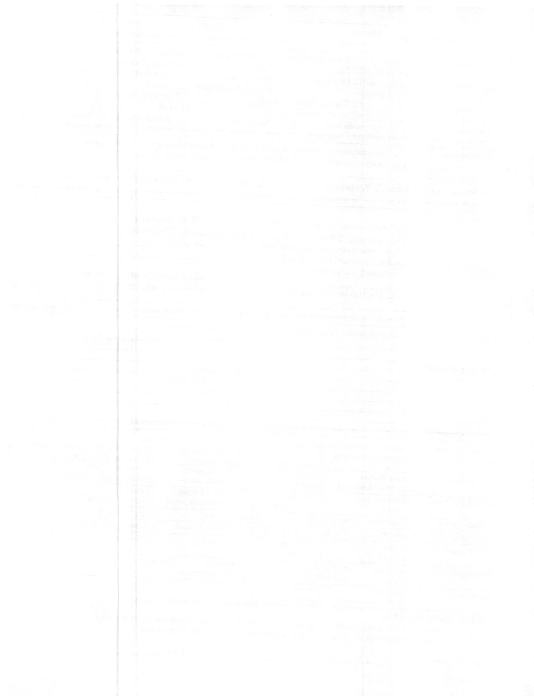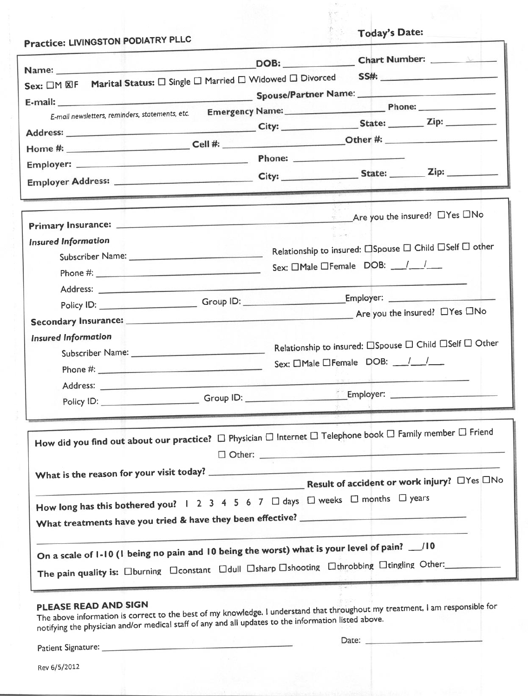|  | <b>Practice: LIVINGSTON PODIATRY PLLC</b> |  |  |
|--|-------------------------------------------|--|--|
|--|-------------------------------------------|--|--|

**Today's Date:** 

|                                                                                                                                    |  | Emergency Name: Phone: Phone:                                 |  |
|------------------------------------------------------------------------------------------------------------------------------------|--|---------------------------------------------------------------|--|
| E-mail newsletters, reminders, statements, etc.                                                                                    |  |                                                               |  |
|                                                                                                                                    |  |                                                               |  |
|                                                                                                                                    |  |                                                               |  |
|                                                                                                                                    |  |                                                               |  |
|                                                                                                                                    |  |                                                               |  |
|                                                                                                                                    |  |                                                               |  |
|                                                                                                                                    |  | <b>Example 2</b> Are you the insured? $\Box$ Yes $\Box$ No    |  |
| <b>Insured Information</b>                                                                                                         |  |                                                               |  |
|                                                                                                                                    |  | Relationship to insured: <b>OSpouse</b> Q Child OSelf Q other |  |
|                                                                                                                                    |  |                                                               |  |
|                                                                                                                                    |  |                                                               |  |
|                                                                                                                                    |  |                                                               |  |
|                                                                                                                                    |  |                                                               |  |
| <b>Insured Information</b>                                                                                                         |  |                                                               |  |
|                                                                                                                                    |  | Relationship to insured: <b>ESpouse E Child ESelf E Other</b> |  |
|                                                                                                                                    |  |                                                               |  |
|                                                                                                                                    |  |                                                               |  |
|                                                                                                                                    |  |                                                               |  |
|                                                                                                                                    |  |                                                               |  |
| How did you find out about our practice? $\Box$ Physician $\Box$ Internet $\Box$ Telephone book $\Box$ Family member $\Box$ Friend |  |                                                               |  |
|                                                                                                                                    |  | $\Box$ $\Box$                                                 |  |
|                                                                                                                                    |  |                                                               |  |
|                                                                                                                                    |  | Result of accident or work injury? OYes ONo                   |  |
| How long has this bothered you? 1 2 3 4 5 6 7 $\Box$ days $\Box$ weeks $\Box$ months $\Box$ years                                  |  |                                                               |  |
|                                                                                                                                    |  |                                                               |  |
| On a scale of I-10 (I being no pain and 10 being the worst) what is your level of pain? 10                                         |  |                                                               |  |
| The pain quality is: <b>Oburning Oconstant Odull Osharp Oshooting Othrobbing Other:</b>                                            |  |                                                               |  |
|                                                                                                                                    |  |                                                               |  |

## PLEASE READ AND SIGN

The above information is correct to the best of my knowledge. I understand that throughout my treatment, I am responsible for notifying the physician and/or medical staff of any and all updates to the information listed above.

Date:

Patient Signature: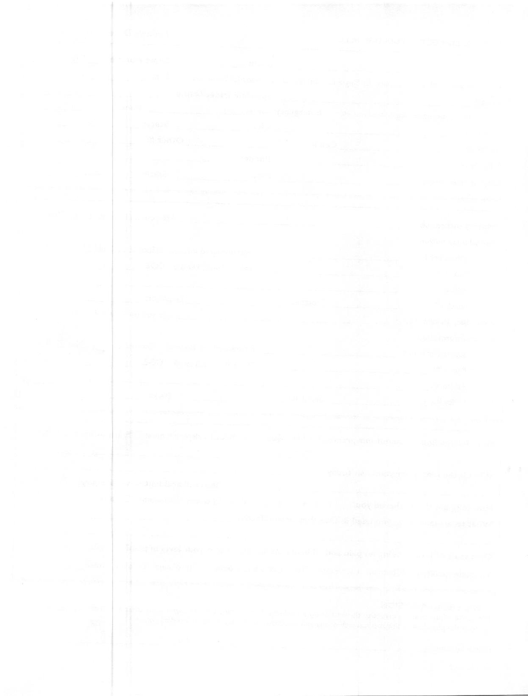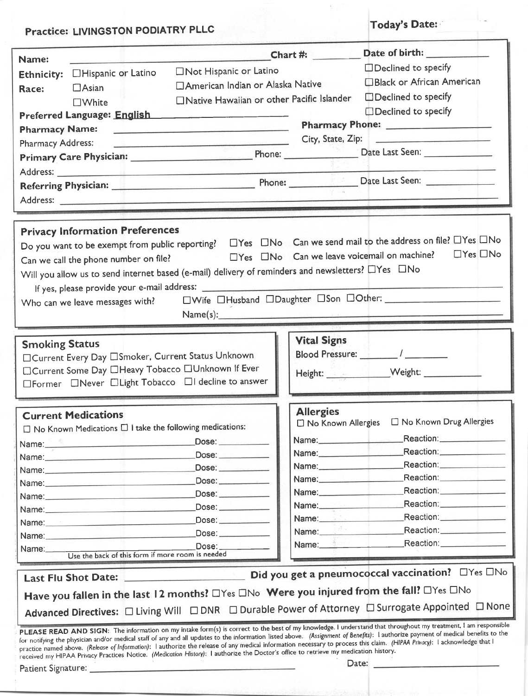| Name:                    |                                                                                                                                                                                                                                |                                                                                                               | Chart#:                                                                                                        |                                                                                                   |
|--------------------------|--------------------------------------------------------------------------------------------------------------------------------------------------------------------------------------------------------------------------------|---------------------------------------------------------------------------------------------------------------|----------------------------------------------------------------------------------------------------------------|---------------------------------------------------------------------------------------------------|
|                          | □Hispanic or Latino                                                                                                                                                                                                            | □ Not Hispanic or Latino                                                                                      |                                                                                                                | $\Box$ Declined to specify                                                                        |
| <b>Ethnicity:</b>        | $\Box$ Asian                                                                                                                                                                                                                   | □ American Indian or Alaska Native                                                                            |                                                                                                                | □ Black or African American                                                                       |
| Race:                    | $\square$ White                                                                                                                                                                                                                | □ Native Hawaiian or other Pacific Islander                                                                   |                                                                                                                | □Declined to specify                                                                              |
|                          |                                                                                                                                                                                                                                | Preferred Language: English                                                                                   |                                                                                                                | $\Box$ Declined to specify                                                                        |
|                          |                                                                                                                                                                                                                                |                                                                                                               |                                                                                                                |                                                                                                   |
| <b>Pharmacy Address:</b> |                                                                                                                                                                                                                                |                                                                                                               |                                                                                                                | City, State, Zip:                                                                                 |
|                          |                                                                                                                                                                                                                                |                                                                                                               |                                                                                                                |                                                                                                   |
|                          | Address: No. 1996. The Contract of the Contract of the Contract of the Contract of the Contract of the Contract of the Contract of the Contract of the Contract of the Contract of the Contract of the Contract of the Contrac |                                                                                                               |                                                                                                                |                                                                                                   |
|                          |                                                                                                                                                                                                                                |                                                                                                               |                                                                                                                |                                                                                                   |
|                          |                                                                                                                                                                                                                                |                                                                                                               |                                                                                                                |                                                                                                   |
|                          |                                                                                                                                                                                                                                |                                                                                                               |                                                                                                                |                                                                                                   |
|                          | Who can we leave messages with?                                                                                                                                                                                                | Will you allow us to send internet based (e-mail) delivery of reminders and newsletters? $\Box$ Yes $\Box$ No |                                                                                                                |                                                                                                   |
|                          |                                                                                                                                                                                                                                | Name(s):                                                                                                      |                                                                                                                |                                                                                                   |
|                          |                                                                                                                                                                                                                                |                                                                                                               |                                                                                                                |                                                                                                   |
|                          |                                                                                                                                                                                                                                |                                                                                                               | <b>Vital Signs</b>                                                                                             |                                                                                                   |
|                          | □Current Every Day □Smoker, Current Status Unknown                                                                                                                                                                             |                                                                                                               |                                                                                                                | Blood Pressure: /________/                                                                        |
|                          | □Current Some Day □Heavy Tobacco □Unknown If Ever                                                                                                                                                                              |                                                                                                               |                                                                                                                | Height: _______________Weight: ____________                                                       |
|                          |                                                                                                                                                                                                                                | □Former □Never □Light Tobacco □I decline to answer                                                            |                                                                                                                |                                                                                                   |
| <b>Smoking Status</b>    |                                                                                                                                                                                                                                |                                                                                                               |                                                                                                                |                                                                                                   |
|                          | <b>Current Medications</b>                                                                                                                                                                                                     |                                                                                                               | <b>Allergies</b>                                                                                               | □ No Known Drug Allergies                                                                         |
|                          | $\Box$ No Known Medications $\Box$ I take the following medications:                                                                                                                                                           |                                                                                                               | □ No Known Allergies                                                                                           |                                                                                                   |
|                          |                                                                                                                                                                                                                                | Dose:                                                                                                         |                                                                                                                | Reaction: Reaction:<br>Reaction: Network                                                          |
|                          | Name: 2008 - 2008 - 2008 - 2019 - 2019 - 2019 - 2019 - 2019 - 2019 - 2019 - 2019 - 2019 - 2019 - 2019 - 2019 - 2019 - 2019 - 2019 - 2019 - 2019 - 2019 - 2019 - 2019 - 2019 - 2019 - 2019 - 2019 - 2019 - 2019 - 2019 - 2019 - |                                                                                                               | Name: <b>Manual Manual Property</b>                                                                            | Reaction: <u>________________</u>                                                                 |
|                          | Name: 2008 - 2008 - 2009 - 2010 - 2010 - 2010 - 2010 - 2010 - 2010 - 2010 - 2010 - 2010 - 2010 - 2010 - 2010 -                                                                                                                 | Dose: __________<br>Dose: ___________                                                                         |                                                                                                                | Reaction:                                                                                         |
|                          | Name: 2008 - 2008 - 2008 - 2008 - 2008 - 2008 - 2008 - 2008 - 2008 - 2008 - 2008 - 2008 - 2008 - 2008 - 2008 -                                                                                                                 | Dose: ___________                                                                                             | Name: 2008. 2009. 2009. 2009. 2009. 2009. 2009. 2009. 2009. 2009. 2009. 2009. 2009. 2009. 2009. 2009. 2009. 20 |                                                                                                   |
|                          |                                                                                                                                                                                                                                | Dose:                                                                                                         |                                                                                                                | Reaction:                                                                                         |
|                          | Name: 2008                                                                                                                                                                                                                     | Dose:                                                                                                         |                                                                                                                | Reaction: <b>Manual Property</b>                                                                  |
|                          | Name: 2008 - 2008 - 2008 - 2008 - 2008 - 2008 - 2008 - 2008 - 2008 - 2008 - 2008 - 2008 - 2008 - 2008 - 2008 -                                                                                                                 | Dose:                                                                                                         | Name: 2008                                                                                                     | Reaction: <b>Network</b>                                                                          |
|                          |                                                                                                                                                                                                                                | Dose:                                                                                                         | Name: 1                                                                                                        | Reaction: ________________                                                                        |
|                          | Name: Use the back of this form if more room is needed                                                                                                                                                                         |                                                                                                               |                                                                                                                |                                                                                                   |
|                          |                                                                                                                                                                                                                                |                                                                                                               |                                                                                                                |                                                                                                   |
|                          |                                                                                                                                                                                                                                |                                                                                                               |                                                                                                                |                                                                                                   |
|                          |                                                                                                                                                                                                                                | Have you fallen in the last 12 months? OYes ONo Were you injured from the fall? OYes ONo                      |                                                                                                                | Advanced Directives: □ Living Will □ DNR □ Durable Power of Attorney □ Surrogate Appointed □ None |